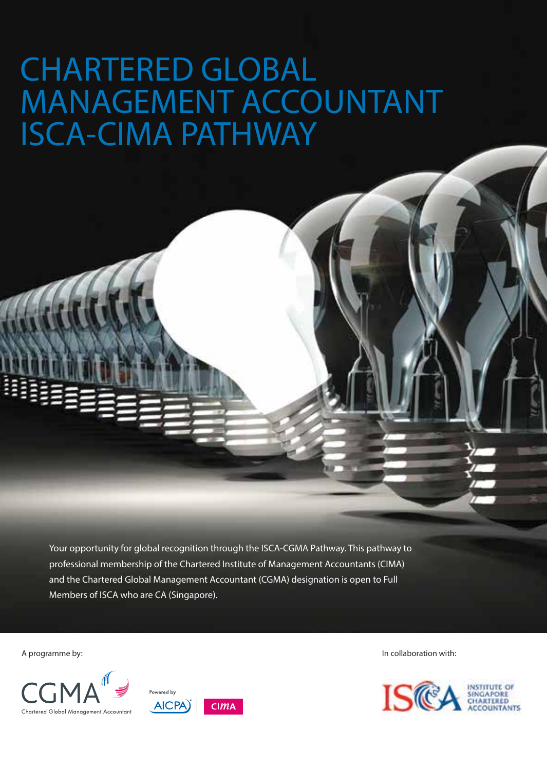# CHARTERED GLOBAL MANAGEMENT ACCOUNTANT ISCA-CIMA PATHWAY

Your opportunity for global recognition through the ISCA-CGMA Pathway. This pathway to professional membership of the Chartered Institute of Management Accountants (CIMA) and the Chartered Global Management Accountant (CGMA) designation is open to Full Members of ISCA who are CA (Singapore).

A programme by:



₩¥¥WUUUN<br>{=====



In collaboration with:

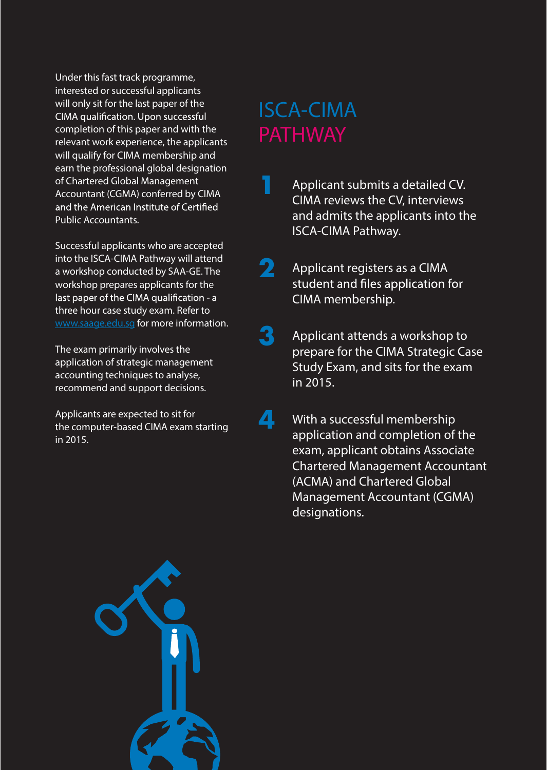Under this fast track programme, interested or successful applicants will only sit for the last paper of the CIMA qualification. Upon successful completion of this paper and with the relevant work experience, the applicants will qualify for CIMA membership and earn the professional global designation of Chartered Global Management Accountant (CGMA) conferred by CIMA and the American Institute of Certified Public Accountants.

Successful applicants who are accepted into the ISCA-CIMA Pathway will attend a workshop conducted by SAA-GE. The workshop prepares applicants for the last paper of the CIMA qualification - a three hour case study exam. Refer to www.saage.edu.sg for more information.

The exam primarily involves the application of strategic management accounting techniques to analyse, recommend and support decisions.

Applicants are expected to sit for the computer-based CIMA exam starting in 2015.

## ISCA-CIMA PATHWAY

- **1** Applicant submits a detailed CV. CIMA reviews the CV, interviews and admits the applicants into the ISCA-CIMA Pathway.
- **2** Applicant registers as a CIMA<br>student and files application for CIMA membership.
	- **3** Applicant attends a workshop to prepare for the CIMA Strategic Case Study Exam, and sits for the exam in 2015.
- **4** With a successful membership application and completion of the exam, applicant obtains Associate Chartered Management Accountant (ACMA) and Chartered Global Management Accountant (CGMA) designations.

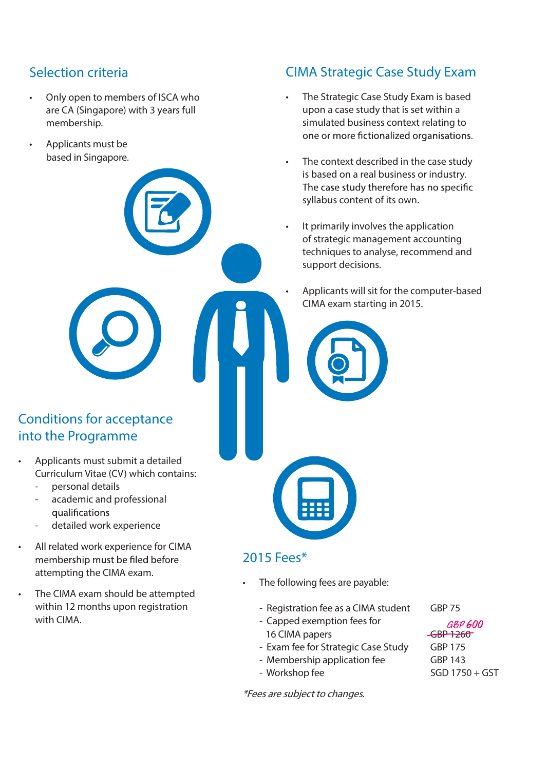#### Selection criteria

- Only open to members of ISCA who are CA (Singapore) with 3 years full membership.
- Applicants must be based in Singapore.

#### CIMA Strategic Case Study Exam

- The Strategic Case Study Exam is based upon a case study that is set within a simulated business context relating to one or more fictionalized organisations.
- The context described in the case study is based on a real business or industry.<br>The case study therefore has no specific syllabus content of its own.
- It primarily involves the application of strategic management accounting techniques to analyse, recommend and support decisions.
	- Applicants will sit for the computer-based CIMA exam starting in 2015.

#### Conditions for acceptance into the Programme

- Applicants must submit a detailed Curriculum Vitae (CV) which contains:
	- personal details
	- academic and professional qualifications
	- detailed work experience
- All related work experience for CIMA membership must be filed before attempting the CIMA exam.
- The CIMA exam should be attempted within 12 months upon registration with CIMA.

#### 2015 Fees\*

- The following fees are payable:
	- Registration fee as a CIMA student GBP 75
	- Capped exemption fees for 16 CIMA papers
	- Exam fee for Strategic Case Study GBP 175
	- Membership application fee GBP 143
	-

\*Fees are subject to changes.

#### $GBP 600$

- Workshop fee SGD 1750 + GST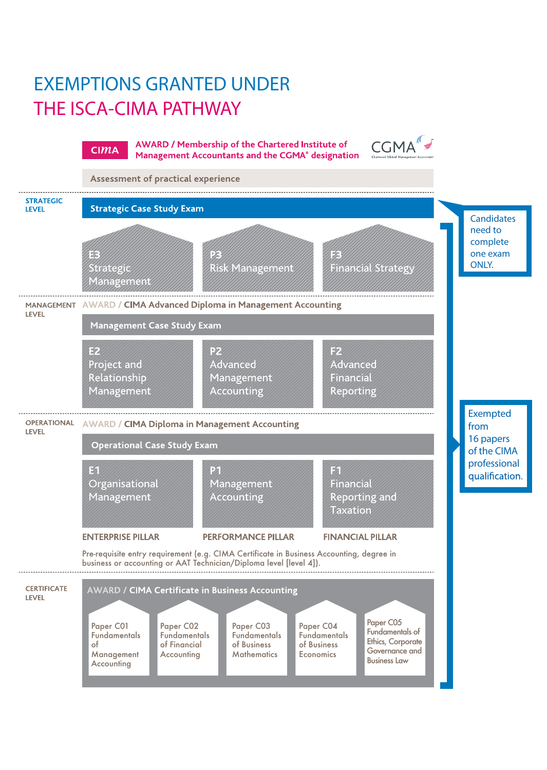### EXEMPTIONS GRANTED UNDER THE ISCA-CIMA PATHWAY

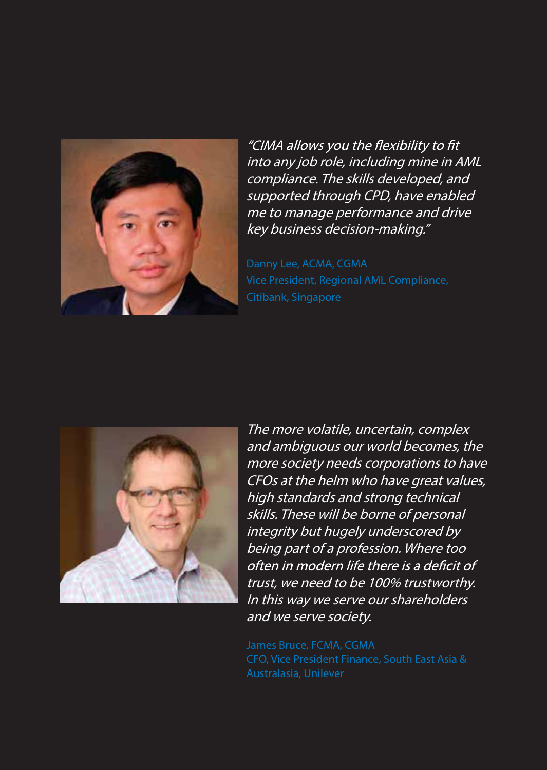

"CIMA allows you the flexibility to fit into any job role, including mine in AML compliance. The skills developed, and supported through CPD, have enabled me to manage performance and drive key business decision-making."



The more volatile, uncertain, complex and ambiguous our world becomes, the more society needs corporations to have CFOs at the helm who have great values, high standards and strong technical skills. These will be borne of personal integrity but hugely underscored by being part of a profession. Where too often in modern life there is a deficit of trust, we need to be 100% trustworthy. In this way we serve our shareholders and we serve society.

James Bruce, FCMA, CGMA CFO, Vice President Finance, South East Asia &